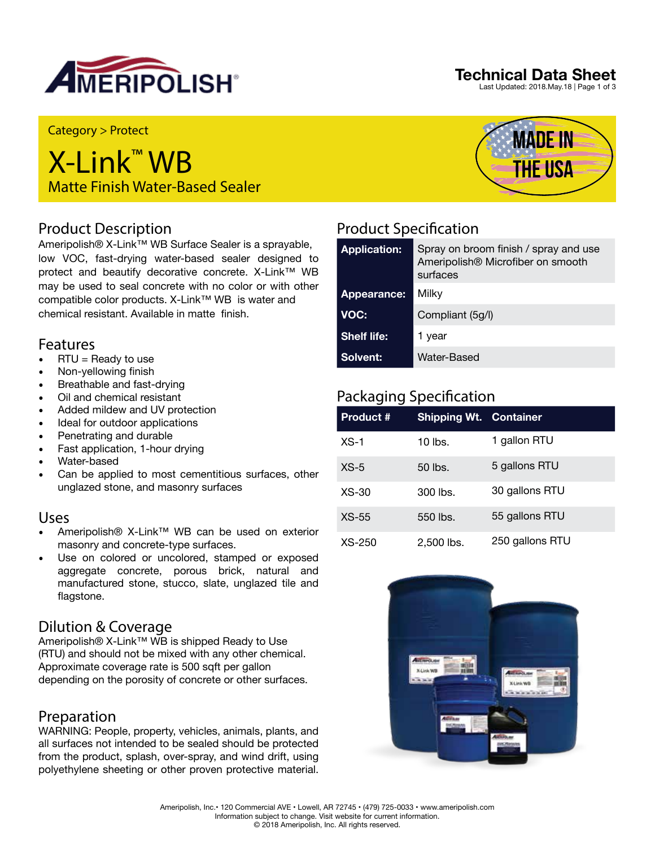

## **Technical Data Sheet**

Last Updated: 2018.May.18 | Page 1 of 3

Category > Protect

# X-Link™ WB Matte Finish Water-Based Sealer

## Product Description

Ameripolish® X-Link™ WB Surface Sealer is a sprayable, low VOC, fast-drying water-based sealer designed to protect and beautify decorative concrete. X-Link™ WB may be used to seal concrete with no color or with other compatible color products. X-Link™ WB is water and chemical resistant. Available in matte finish.

## Features

- $\bullet$  RTU = Ready to use
- Non-yellowing finish
- Breathable and fast-drying
- Oil and chemical resistant
- Added mildew and UV protection
- Ideal for outdoor applications
- Penetrating and durable
- Fast application, 1-hour drying
- Water-based
- Can be applied to most cementitious surfaces, other unglazed stone, and masonry surfaces

## Uses

- Ameripolish® X-Link™ WB can be used on exterior masonry and concrete-type surfaces.
- Use on colored or uncolored, stamped or exposed aggregate concrete, porous brick, natural and manufactured stone, stucco, slate, unglazed tile and flagstone.

## Dilution & Coverage

Ameripolish® X-Link™ WB is shipped Ready to Use (RTU) and should not be mixed with any other chemical. Approximate coverage rate is 500 sqft per gallon depending on the porosity of concrete or other surfaces.

## Preparation

WARNING: People, property, vehicles, animals, plants, and all surfaces not intended to be sealed should be protected from the product, splash, over-spray, and wind drift, using polyethylene sheeting or other proven protective material.



# Product Specification

| <b>Application:</b> | Spray on broom finish / spray and use<br>Ameripolish® Microfiber on smooth<br>surfaces |
|---------------------|----------------------------------------------------------------------------------------|
| Appearance:         | Milky                                                                                  |
| VOC:                | Compliant (5g/l)                                                                       |
| <b>Shelf life:</b>  | 1 year                                                                                 |
| <b>Solvent:</b>     | Water-Based                                                                            |

## Packaging Specification

| <b>Product #</b> | <b>Shipping Wt. Container</b> |                 |
|------------------|-------------------------------|-----------------|
| $XS-1$           | $10$ lbs.                     | 1 gallon RTU    |
| $XS-5$           | 50 lbs.                       | 5 gallons RTU   |
| $XS-30$          | 300 lbs.                      | 30 gallons RTU  |
| $XS-55$          | 550 lbs.                      | 55 gallons RTU  |
| $XS-250$         | 2,500 lbs.                    | 250 gallons RTU |

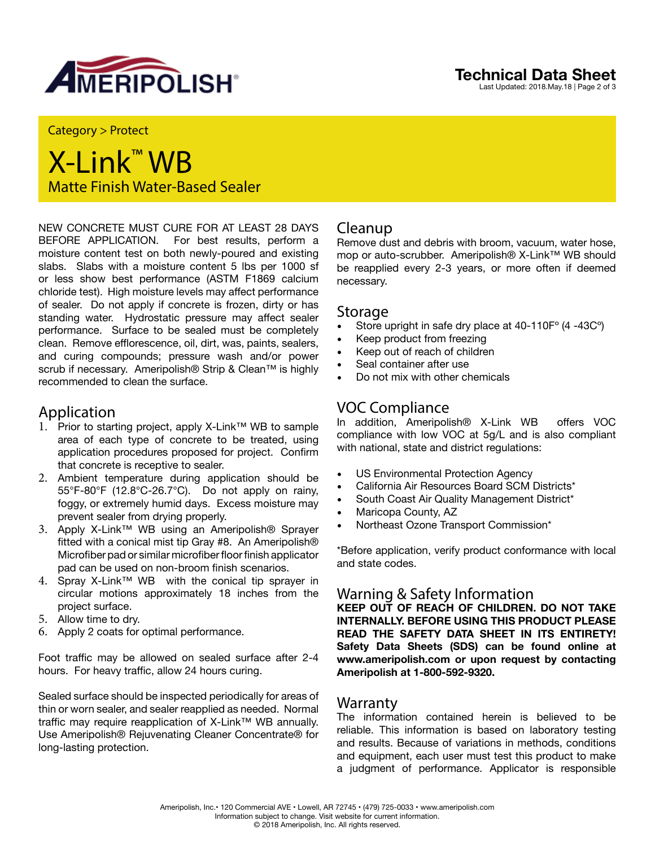

#### **Technical Data Sheet** Last Updated: 2018.May.18 | Page 2 of 3

Category > Protect

# X-Link™ WB Matte Finish Water-Based Sealer

NEW CONCRETE MUST CURE FOR AT LEAST 28 DAYS BEFORE APPLICATION. For best results, perform a moisture content test on both newly-poured and existing slabs. Slabs with a moisture content 5 lbs per 1000 sf or less show best performance (ASTM F1869 calcium chloride test). High moisture levels may affect performance of sealer. Do not apply if concrete is frozen, dirty or has standing water. Hydrostatic pressure may affect sealer performance. Surface to be sealed must be completely clean. Remove efflorescence, oil, dirt, was, paints, sealers, and curing compounds; pressure wash and/or power scrub if necessary. Ameripolish® Strip & Clean<sup>™</sup> is highly recommended to clean the surface.

## Application

- 1. Prior to starting project, apply X-Link™ WB to sample area of each type of concrete to be treated, using application procedures proposed for project. Confirm that concrete is receptive to sealer.
- 2. Ambient temperature during application should be 55°F-80°F (12.8°C-26.7°C). Do not apply on rainy, foggy, or extremely humid days. Excess moisture may prevent sealer from drying properly.
- 3. Apply X-Link™ WB using an Ameripolish® Sprayer fitted with a conical mist tip Gray #8. An Ameripolish® Microfiber pad or similar microfiber floor finish applicator pad can be used on non-broom finish scenarios.
- 4. Spray X-Link™ WB with the conical tip sprayer in circular motions approximately 18 inches from the project surface.
- 5. Allow time to dry.
- 6. Apply 2 coats for optimal performance.

Foot traffic may be allowed on sealed surface after 2-4 hours. For heavy traffic, allow 24 hours curing.

Sealed surface should be inspected periodically for areas of thin or worn sealer, and sealer reapplied as needed. Normal traffic may require reapplication of X-Link™ WB annually. Use Ameripolish® Rejuvenating Cleaner Concentrate® for long-lasting protection.

## Cleanup

Remove dust and debris with broom, vacuum, water hose, mop or auto-scrubber. Ameripolish® X-Link™ WB should be reapplied every 2-3 years, or more often if deemed necessary.

### Storage

- Store upright in safe dry place at 40-110F° (4 -43C°)
- Keep product from freezing
- Keep out of reach of children
- Seal container after use
- Do not mix with other chemicals

## VOC Compliance

In addition, Ameripolish® X-Link WB offers VOC compliance with low VOC at 5g/L and is also compliant with national, state and district regulations:

- US Environmental Protection Agency
- California Air Resources Board SCM Districts\*
- South Coast Air Quality Management District\*
- Maricopa County, AZ
- Northeast Ozone Transport Commission\*

\*Before application, verify product conformance with local and state codes.

## Warning & Safety Information

**KEEP OUT OF REACH OF CHILDREN. DO NOT TAKE INTERNALLY. BEFORE USING THIS PRODUCT PLEASE READ THE SAFETY DATA SHEET IN ITS ENTIRETY! Safety Data Sheets (SDS) can be found online at www.ameripolish.com or upon request by contacting Ameripolish at 1-800-592-9320.**

## Warranty

The information contained herein is believed to be reliable. This information is based on laboratory testing and results. Because of variations in methods, conditions and equipment, each user must test this product to make a judgment of performance. Applicator is responsible